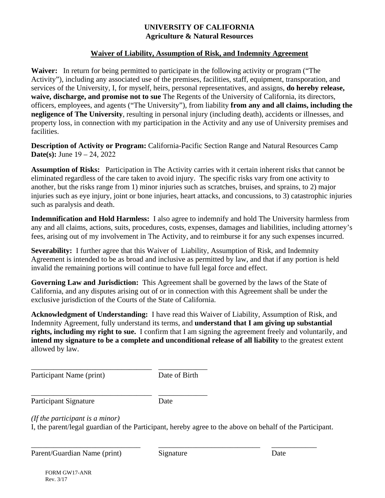# **UNIVERSITY OF CALIFORNIA Agriculture & Natural Resources**

# **Waiver of Liability, Assumption of Risk, and Indemnity Agreement**

**Waiver:** In return for being permitted to participate in the following activity or program ("The Activity"), including any associated use of the premises, facilities, staff, equipment, transporation, and services of the University, I, for myself, heirs, personal representatives, and assigns, **do hereby release, waive, discharge, and promise not to sue** The Regents of the University of California, its directors, officers, employees, and agents ("The University"), from liability **from any and all claims, including the negligence of The University**, resulting in personal injury (including death), accidents or illnesses, and property loss, in connection with my participation in the Activity and any use of University premises and facilities.

**Description of Activity or Program:** California-Pacific Section Range and Natural Resources Camp **Date(s):** June 19 – 24, 2022

**Assumption of Risks:** Participation in The Activity carries with it certain inherent risks that cannot be eliminated regardless of the care taken to avoid injury. The specific risks vary from one activity to another, but the risks range from 1) minor injuries such as scratches, bruises, and sprains, to 2) major injuries such as eye injury, joint or bone injuries, heart attacks, and concussions, to 3) catastrophic injuries such as paralysis and death.

**Indemnification and Hold Harmless:** I also agree to indemnify and hold The University harmless from any and all claims, actions, suits, procedures, costs, expenses, damages and liabilities, including attorney's fees, arising out of my involvement in The Activity, and to reimburse it for any such expenses incurred.

**Severability:** I further agree that this Waiver of Liability, Assumption of Risk, and Indemnity Agreement is intended to be as broad and inclusive as permitted by law, and that if any portion is held invalid the remaining portions will continue to have full legal force and effect.

**Governing Law and Jurisdiction:** This Agreement shall be governed by the laws of the State of California, and any disputes arising out of or in connection with this Agreement shall be under the exclusive jurisdiction of the Courts of the State of California.

**Acknowledgment of Understanding:** I have read this Waiver of Liability, Assumption of Risk, and Indemnity Agreement, fully understand its terms, and **understand that I am giving up substantial rights, including my right to sue.** I confirm that I am signing the agreement freely and voluntarily, and **intend my signature to be a complete and unconditional release of all liability** to the greatest extent allowed by law.

Participant Name (print) Date of Birth

\_\_\_\_\_\_\_\_\_\_\_\_\_\_\_\_\_\_\_\_\_\_\_\_\_\_\_\_\_\_\_\_ \_\_\_\_\_\_\_\_\_\_\_\_\_ Participant Signature Date

\_\_\_\_\_\_\_\_\_\_\_\_\_\_\_\_\_\_\_\_\_\_\_\_\_\_\_\_\_\_\_\_ \_\_\_\_\_\_\_\_\_\_\_\_\_

*(If the participant is a minor)* 

I, the parent/legal guardian of the Participant, hereby agree to the above on behalf of the Participant.

Parent/Guardian Name (print) Signature Date

\_\_\_\_\_\_\_\_\_\_\_\_\_\_\_\_\_\_\_\_\_\_\_\_\_\_\_\_\_ \_\_\_\_\_\_\_\_\_\_\_\_\_\_\_\_\_\_\_\_\_\_\_\_\_\_\_ \_\_\_\_\_\_\_\_\_\_\_\_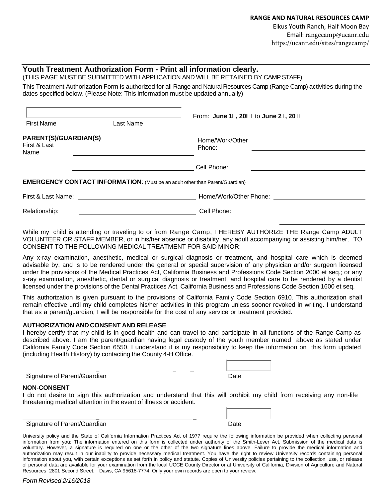Elkus Youth Ranch, Half Moon Bay Email: rangecamp@ucanr.edu https://ucanr.edu/sites/rangecamp/

### **Youth Treatment Authorization Form - Print all information clearly.**

(THIS PAGE MUST BE SUBMITTED WITH APPLICATION AND WILL BE RETAINED BY CAMP STAFF)

This Treatment Authorization Form is authorized for all Range and Natural Resources Camp (Range Camp) activities during the dates specified below. (Please Note: This information must be updated annually)

|                                               |                                                                                     | From: June 1-, 20&& to June 2(, 20&& |  |
|-----------------------------------------------|-------------------------------------------------------------------------------------|--------------------------------------|--|
| <b>First Name</b>                             | Last Name                                                                           |                                      |  |
| PARENT(S)/GUARDIAN(S)<br>First & Last<br>Name |                                                                                     | Home/Work/Other<br>Phone:            |  |
|                                               |                                                                                     | Cell Phone:                          |  |
|                                               | <b>EMERGENCY CONTACT INFORMATION:</b> (Must be an adult other than Parent/Guardian) |                                      |  |
| First & Last Name:                            |                                                                                     | Home/Work/Other Phone:               |  |
| Relationship:                                 |                                                                                     | Cell Phone:                          |  |

While my child is attending or traveling to or from Range Camp, I HEREBY AUTHORIZE THE Range Camp ADULT VOLUNTEER OR STAFF MEMBER, or in his/her absence or disability, any adult accompanying or assisting him/her, TO CONSENT TO THE FOLLOWING MEDICAL TREATMENT FOR SAID MINOR:

Any x-ray examination, anesthetic, medical or surgical diagnosis or treatment, and hospital care which is deemed advisable by, and is to be rendered under the general or special supervision of any physician and/or surgeon licensed under the provisions of the Medical Practices Act, California Business and Professions Code Section 2000 et seq.; or any x-ray examination, anesthetic, dental or surgical diagnosis or treatment, and hospital care to be rendered by a dentist licensed under the provisions of the Dental Practices Act, California Business and Professions Code Section 1600 et seq.

This authorization is given pursuant to the provisions of California Family Code Section 6910. This authorization shall remain effective until my child completes his/her activities in this program unless sooner revoked in writing. I understand that as a parent/guardian, I will be responsible for the cost of any service or treatment provided.

#### **AUTHORIZATION AND CONSENT AND RELEASE**

I hereby certify that my child is in good health and can travel to and participate in all functions of the Range Camp as described above. I am the parent/guardian having legal custody of the youth member named above as stated under California Family Code Section 6550. I understand it is my responsibility to keep the information on this form updated (including Health History) by contacting the County 4-H Office.

### Signature of Parent/Guardian

| Date |  |  |
|------|--|--|

## **NON-CONSENT**

I do not desire to sign this authorization and understand that this will prohibit my child from receiving any non-life threatening medical attention in the event of illness or accident.

\_ \_ \_

| Date |  |
|------|--|

#### \_ \_ Signature of Parent/Guardian

University policy and the State of California Information Practices Act of 1977 require the following information be provided when collecting personal information from you: The information entered on this form is collected under authority of the Smith-Lever Act. Submission of the medical data is voluntary. However, a signature is required on one or the other of the two signature lines above. Failure to provide the medical information and authorization may result in our inability to provide necessary medical treatment. You have the right to review University records containing personal information about you, with certain exceptions as set forth in policy and statute. Copies of University policies pertaining to the collection, use, or release of personal data are available for your examination from the local UCCE County Director or at University of California, Division of Agriculture and Natural Resources, 2801 Second Street, Davis, CA 95618-7774. Only your own records are open to your review.

*Form Revised 2/16/2018*